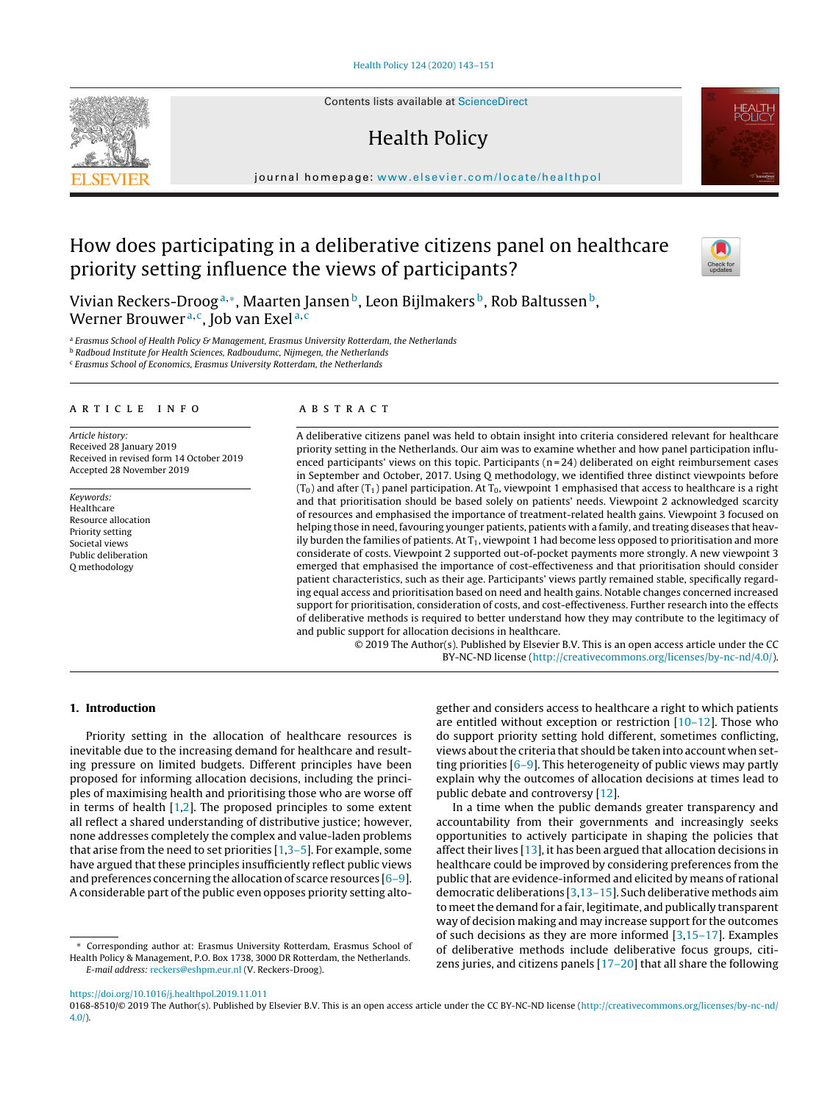Contents lists available at [ScienceDirect](http://www.sciencedirect.com/science/journal/01688510)

# Health Policy

iournal homepage: [www.elsevier.com/locate/healthpol](http://www.elsevier.com/locate/healthpol)

# How does participating in a deliberative citizens panel on healthcare priority setting influence the views of participants?

Vivian Reckers-Droog<sup>a,∗</sup>, Maarten Jansen<sup>b</sup>, Leon Bijlmakers<sup>b</sup>, Rob Baltussen<sup>b</sup>, Werner Brouwer<sup>a,c</sup>, Job van Exel<sup>a,c</sup>

a Erasmus School of Health Policy & Management, Erasmus University Rotterdam, the Netherlands

**b Radboud Institute for Health Sciences, Radboudumc, Nijmegen, the Netherlands** 

<sup>c</sup> Erasmus School of Economics, Erasmus University Rotterdam, the Netherlands

# a r t i c l e i n f o

Article history: Received 28 January 2019 Received in revised form 14 October 2019 Accepted 28 November 2019

Keywords: Healthcare Resource allocation Priority setting Societal views Public deliberation Q methodology

#### a b s t r a c t

A deliberative citizens panel was held to obtain insight into criteria considered relevant for healthcare priority setting in the Netherlands. Our aim was to examine whether and how panel participation influenced participants' views on this topic. Participants  $(n = 24)$  deliberated on eight reimbursement cases in September and October, 2017. Using Q methodology, we identified three distinct viewpoints before  $(T_0)$  and after  $(T_1)$  panel participation. At  $T_0$ , viewpoint 1 emphasised that access to healthcare is a right and that prioritisation should be based solely on patients' needs. Viewpoint 2 acknowledged scarcity of resources and emphasised the importance of treatment-related health gains. Viewpoint 3 focused on helping those in need, favouring younger patients, patients with a family, and treating diseases that heavily burden the families of patients. At  $T_1$ , viewpoint 1 had become less opposed to prioritisation and more considerate of costs. Viewpoint 2 supported out-of-pocket payments more strongly. A new viewpoint 3 emerged that emphasised the importance of cost-effectiveness and that prioritisation should consider patient characteristics, such as their age. Participants' views partly remained stable, specifically regarding equal access and prioritisation based on need and health gains. Notable changes concerned increased support for prioritisation, consideration of costs, and cost-effectiveness. Further research into the effects of deliberative methods is required to better understand how they may contribute to the legitimacy of and public support for allocation decisions in healthcare.

© 2019 The Author(s). Published by Elsevier B.V. This is an open access article under the CC BY-NC-ND license [\(http://creativecommons.org/licenses/by-nc-nd/4.0/](http://creativecommons.org/licenses/by-nc-nd/4.0/)).

## **1. Introduction**

Priority setting in the allocation of healthcare resources is inevitable due to the increasing demand for healthcare and resulting pressure on limited budgets. Different principles have been proposed for informing allocation decisions, including the principles of maximising health and prioritising those who are worse off in terms of health  $[1,2]$ . The proposed principles to some extent all reflect a shared understanding of distributive justice; however, none addresses completely the complex and value-laden problems that arise from the need to set priorities [[1,3–5\].](#page-8-0) For example, some have argued that these principles insufficiently reflect public views and preferences concerning the allocation of scarce resources [[6–9\].](#page-8-0) A considerable part of the public even opposes priority setting altogether and considers access to healthcare a right to which patients are entitled without exception or restriction  $[10-12]$ . Those who do support priority setting hold different, sometimes conflicting, views about the criteria that should be taken into account when setting priorities [\[6–9\].](#page-8-0) This heterogeneity of public views may partly explain why the outcomes of allocation decisions at times lead to public debate and controversy [[12\].](#page-8-0)

In a time when the public demands greater transparency and accountability from their governments and increasingly seeks opportunities to actively participate in shaping the policies that affect their lives [\[13\],](#page-8-0) it has been argued that allocation decisions in healthcare could be improved by considering preferences from the public that are evidence-informed and elicited by means of rational democratic deliberations [[3,13–15\].](#page-8-0) Such deliberative methods aim to meetthe demand for a fair, legitimate, and publically transparent way of decision making and may increase support for the outcomes of such decisions as they are more informed [[3,15–17\].](#page-8-0) Examples of deliberative methods include deliberative focus groups, citizens juries, and citizens panels [\[17–20\]](#page-8-0) that all share the following

<https://doi.org/10.1016/j.healthpol.2019.11.011>





Corresponding author at: Erasmus University Rotterdam, Erasmus School of Health Policy & Management, P.O. Box 1738, 3000 DR Rotterdam, the Netherlands. E-mail address: [reckers@eshpm.eur.nl](mailto:reckers@eshpm.eur.nl) (V. Reckers-Droog).

<sup>0168-8510/© 2019</sup> The Author(s). Published by Elsevier B.V. This is an open access article under the CC BY-NC-ND license ([http://creativecommons.org/licenses/by-nc-nd/](http://creativecommons.org/licenses/by-nc-nd/4.0/) [4.0/](http://creativecommons.org/licenses/by-nc-nd/4.0/)).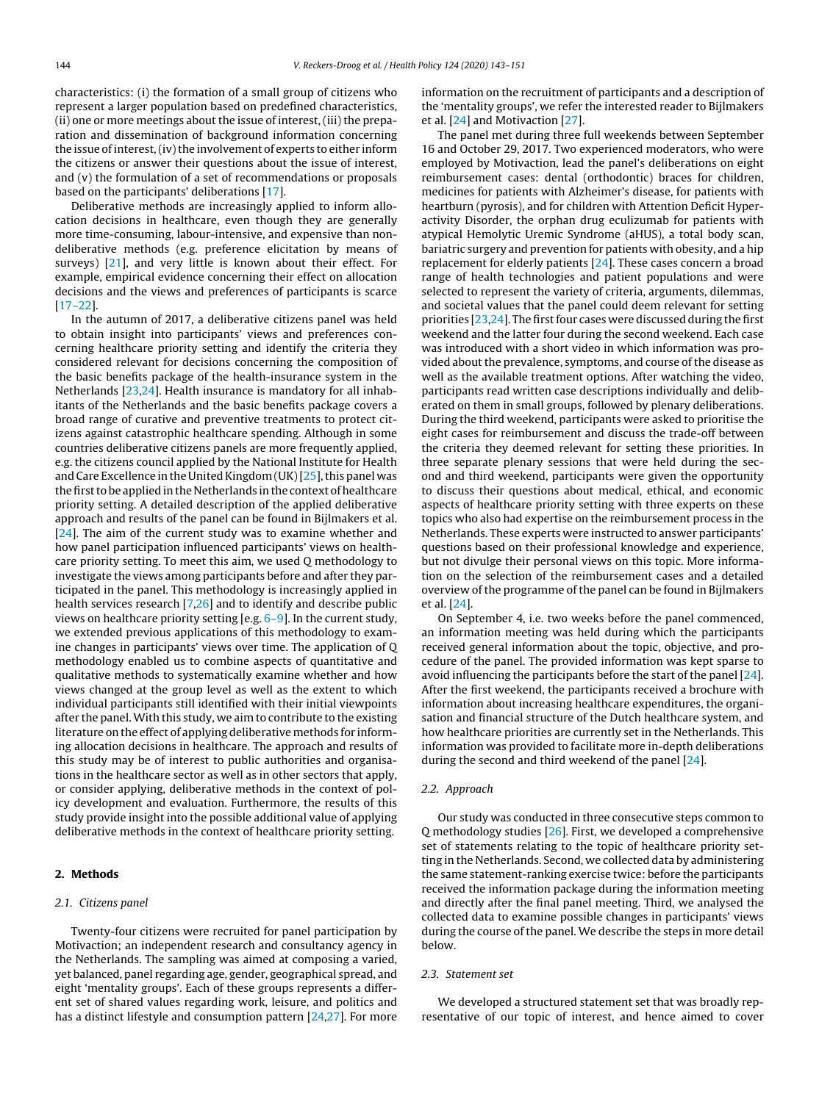characteristics: (i) the formation of a small group of citizens who represent a larger population based on predefined characteristics, (ii) one or more meetings about the issue of interest, (iii) the preparation and dissemination of background information concerning the issue of interest, (iv) the involvement of experts to either inform the citizens or answer their questions about the issue of interest, and (v) the formulation of a set of recommendations or proposals based on the participants' deliberations [\[17\].](#page-8-0)

Deliberative methods are increasingly applied to inform allocation decisions in healthcare, even though they are generally more time-consuming, labour-intensive, and expensive than nondeliberative methods (e.g. preference elicitation by means of surveys) [[21\],](#page-8-0) and very little is known about their effect. For example, empirical evidence concerning their effect on allocation decisions and the views and preferences of participants is scarce [[17–22\].](#page-8-0)

In the autumn of 2017, a deliberative citizens panel was held to obtain insight into participants' views and preferences concerning healthcare priority setting and identify the criteria they considered relevant for decisions concerning the composition of the basic benefits package of the health-insurance system in the Netherlands [\[23,24\].](#page-8-0) Health insurance is mandatory for all inhabitants of the Netherlands and the basic benefits package covers a broad range of curative and preventive treatments to protect citizens against catastrophic healthcare spending. Although in some countries deliberative citizens panels are more frequently applied, e.g. the citizens council applied by the National Institute for Health and Care Excellence in the United Kingdom (UK)  $[25]$ , this panel was the first to be applied in the Netherlands in the context of healthcare priority setting. A detailed description of the applied deliberative approach and results of the panel can be found in Bijlmakers et al. [[24\].](#page-8-0) The aim of the current study was to examine whether and how panel participation influenced participants' views on healthcare priority setting. To meet this aim, we used Q methodology to investigate the views among participants before and after they participated in the panel. This methodology is increasingly applied in health services research [[7,26\]](#page-8-0) and to identify and describe public views on healthcare priority setting [e.g. [6–9\].](#page-8-0) In the current study, we extended previous applications of this methodology to examine changes in participants' views over time. The application of Q methodology enabled us to combine aspects of quantitative and qualitative methods to systematically examine whether and how views changed at the group level as well as the extent to which individual participants still identified with their initial viewpoints after the panel.With this study, we aim to contribute to the existing literature on the effect of applying deliberative methods for informing allocation decisions in healthcare. The approach and results of this study may be of interest to public authorities and organisations in the healthcare sector as well as in other sectors that apply, or consider applying, deliberative methods in the context of policy development and evaluation. Furthermore, the results of this study provide insight into the possible additional value of applying deliberative methods in the context of healthcare priority setting.

## **2. Methods**

#### 2.1. Citizens panel

Twenty-four citizens were recruited for panel participation by Motivaction; an independent research and consultancy agency in the Netherlands. The sampling was aimed at composing a varied, yet balanced, panel regarding age, gender, geographical spread, and eight 'mentality groups'. Each of these groups represents a different set of shared values regarding work, leisure, and politics and has a distinct lifestyle and consumption pattern [\[24,27\].](#page-8-0) For more information on the recruitment of participants and a description of the 'mentality groups', we refer the interested reader to Bijlmakers et al. [[24\]](#page-8-0) and Motivaction [[27\].](#page-8-0)

The panel met during three full weekends between September 16 and October 29, 2017. Two experienced moderators, who were employed by Motivaction, lead the panel's deliberations on eight reimbursement cases: dental (orthodontic) braces for children, medicines for patients with Alzheimer's disease, for patients with heartburn (pyrosis), and for children with Attention Deficit Hyperactivity Disorder, the orphan drug eculizumab for patients with atypical Hemolytic Uremic Syndrome (aHUS), a total body scan, bariatric surgery and prevention for patients with obesity, and a hip replacement for elderly patients  $[24]$ . These cases concern a broad range of health technologies and patient populations and were selected to represent the variety of criteria, arguments, dilemmas, and societal values that the panel could deem relevant for setting priorities  $[23,24]$ . The first four cases were discussed during the first weekend and the latter four during the second weekend. Each case was introduced with a short video in which information was provided about the prevalence, symptoms, and course of the disease as well as the available treatment options. After watching the video, participants read written case descriptions individually and deliberated on them in small groups, followed by plenary deliberations. During the third weekend, participants were asked to prioritise the eight cases for reimbursement and discuss the trade-off between the criteria they deemed relevant for setting these priorities. In three separate plenary sessions that were held during the second and third weekend, participants were given the opportunity to discuss their questions about medical, ethical, and economic aspects of healthcare priority setting with three experts on these topics who also had expertise on the reimbursement process in the Netherlands. These experts were instructed to answer participants' questions based on their professional knowledge and experience, but not divulge their personal views on this topic. More information on the selection of the reimbursement cases and a detailed overview of the programme of the panel can be found in Bijlmakers et al. [[24\].](#page-8-0)

On September 4, i.e. two weeks before the panel commenced, an information meeting was held during which the participants received general information about the topic, objective, and procedure of the panel. The provided information was kept sparse to avoid influencing the participants before the start of the panel [\[24\].](#page-8-0) After the first weekend, the participants received a brochure with information about increasing healthcare expenditures, the organisation and financial structure of the Dutch healthcare system, and how healthcare priorities are currently set in the Netherlands. This information was provided to facilitate more in-depth deliberations during the second and third weekend of the panel [\[24\].](#page-8-0)

## 2.2. Approach

Our study was conducted in three consecutive steps common to Q methodology studies [[26\].](#page-8-0) First, we developed a comprehensive set of statements relating to the topic of healthcare priority setting in the Netherlands. Second, we collected data by administering the same statement-ranking exercise twice: before the participants received the information package during the information meeting and directly after the final panel meeting. Third, we analysed the collected data to examine possible changes in participants' views during the course of the panel. We describe the steps in more detail below.

### 2.3. Statement set

We developed a structured statement set that was broadly representative of our topic of interest, and hence aimed to cover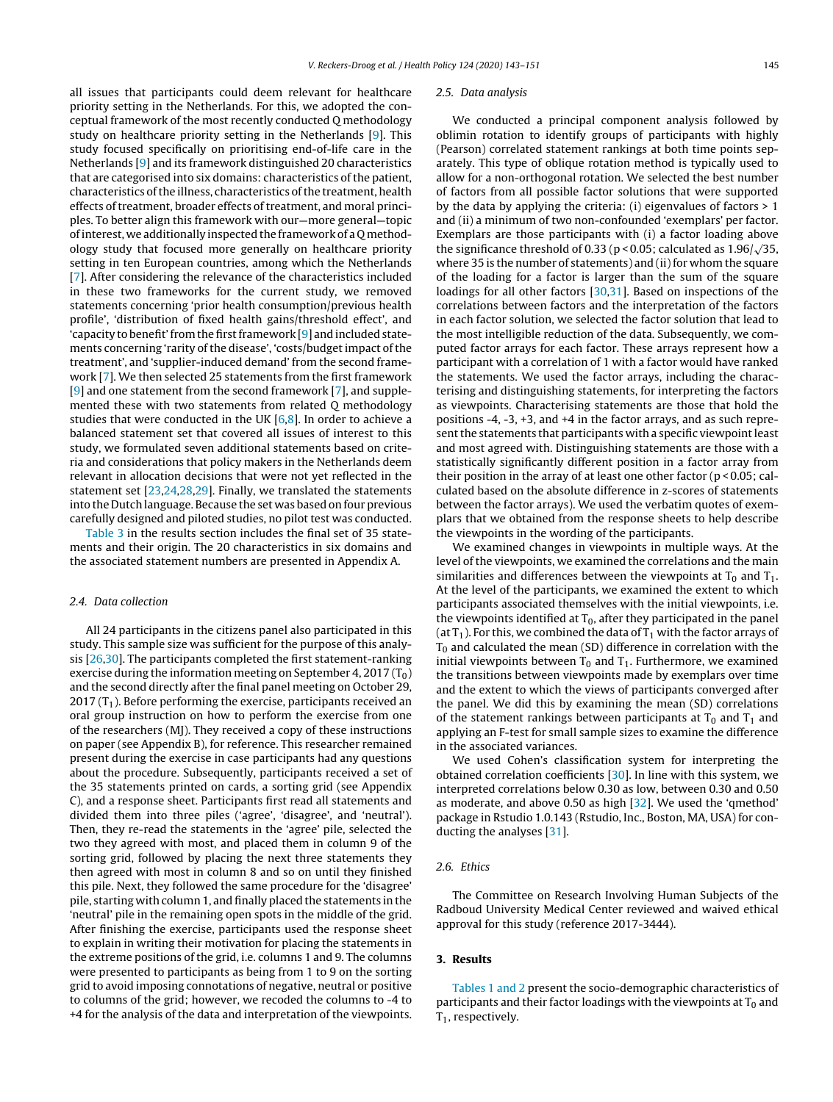all issues that participants could deem relevant for healthcare priority setting in the Netherlands. For this, we adopted the conceptual framework of the most recently conducted Q methodology study on healthcare priority setting in the Netherlands [\[9\].](#page-8-0) This study focused specifically on prioritising end-of-life care in the Netherlands [\[9\]](#page-8-0) and its framework distinguished 20 characteristics that are categorised into six domains: characteristics of the patient, characteristics ofthe illness, characteristics ofthe treatment, health effects of treatment, broader effects of treatment, and moral principles. To better align this framework with our—more general—topic ofinterest, we additionally inspected the framework of a Q methodology study that focused more generally on healthcare priority setting in ten European countries, among which the Netherlands [[7\].](#page-8-0) After considering the relevance of the characteristics included in these two frameworks for the current study, we removed statements concerning 'prior health consumption/previous health profile', 'distribution of fixed health gains/threshold effect', and 'capacity to benefit' from the first framework  $[9]$  and included statements concerning 'rarity of the disease', 'costs/budget impact of the treatment', and 'supplier-induced demand' from the second framework [\[7\].](#page-8-0) We then selected 25 statements from the first framework [[9\]](#page-8-0) and one statement from the second framework [[7\],](#page-8-0) and supplemented these with two statements from related Q methodology studies that were conducted in the UK  $[6,8]$ . In order to achieve a balanced statement set that covered all issues of interest to this study, we formulated seven additional statements based on criteria and considerations that policy makers in the Netherlands deem relevant in allocation decisions that were not yet reflected in the statement set [\[23,24,28,29\].](#page-8-0) Finally, we translated the statements into the Dutch language. Because the set was based on four previous carefully designed and piloted studies, no pilot test was conducted.

[Table](#page-4-0) 3 in the results section includes the final set of 35 statements and their origin. The 20 characteristics in six domains and the associated statement numbers are presented in Appendix A.

## 2.4. Data collection

All 24 participants in the citizens panel also participated in this study. This sample size was sufficient for the purpose of this analysis [\[26,30\].](#page-8-0) The participants completed the first statement-ranking exercise during the information meeting on September 4, 2017 ( $T_0$ ) and the second directly after the final panel meeting on October 29, 2017 ( $T_1$ ). Before performing the exercise, participants received an oral group instruction on how to perform the exercise from one of the researchers (MJ). They received a copy of these instructions on paper (see Appendix B), for reference. This researcher remained present during the exercise in case participants had any questions about the procedure. Subsequently, participants received a set of the 35 statements printed on cards, a sorting grid (see Appendix C), and a response sheet. Participants first read all statements and divided them into three piles ('agree', 'disagree', and 'neutral'). Then, they re-read the statements in the 'agree' pile, selected the two they agreed with most, and placed them in column 9 of the sorting grid, followed by placing the next three statements they then agreed with most in column 8 and so on until they finished this pile. Next, they followed the same procedure for the 'disagree' pile, starting with column 1, and finally placed the statements in the 'neutral' pile in the remaining open spots in the middle of the grid. After finishing the exercise, participants used the response sheet to explain in writing their motivation for placing the statements in the extreme positions of the grid, i.e. columns 1 and 9. The columns were presented to participants as being from 1 to 9 on the sorting grid to avoid imposing connotations of negative, neutral or positive to columns of the grid; however, we recoded the columns to -4 to +4 for the analysis of the data and interpretation of the viewpoints.

#### 2.5. Data analysis

We conducted a principal component analysis followed by oblimin rotation to identify groups of participants with highly (Pearson) correlated statement rankings at both time points separately. This type of oblique rotation method is typically used to allow for a non-orthogonal rotation. We selected the best number of factors from all possible factor solutions that were supported by the data by applying the criteria: (i) eigenvalues of factors  $> 1$ and (ii) a minimum of two non-confounded 'exemplars' per factor. Exemplars are those participants with (i) a factor loading above the significance threshold of 0.33 (p < 0.05; calculated as  $1.96/\sqrt{35}$ , where 35 is the number of statements) and (ii) for whom the square of the loading for a factor is larger than the sum of the square loadings for all other factors [\[30,31\].](#page-8-0) Based on inspections of the correlations between factors and the interpretation of the factors in each factor solution, we selected the factor solution that lead to the most intelligible reduction of the data. Subsequently, we computed factor arrays for each factor. These arrays represent how a participant with a correlation of 1 with a factor would have ranked the statements. We used the factor arrays, including the characterising and distinguishing statements, for interpreting the factors as viewpoints. Characterising statements are those that hold the positions -4, -3, +3, and +4 in the factor arrays, and as such represent the statements that participants with a specific viewpoint least and most agreed with. Distinguishing statements are those with a statistically significantly different position in a factor array from their position in the array of at least one other factor (p < 0.05; calculated based on the absolute difference in z-scores of statements between the factor arrays). We used the verbatim quotes of exemplars that we obtained from the response sheets to help describe the viewpoints in the wording of the participants.

We examined changes in viewpoints in multiple ways. At the level of the viewpoints, we examined the correlations and the main similarities and differences between the viewpoints at  $T_0$  and  $T_1$ . At the level of the participants, we examined the extent to which participants associated themselves with the initial viewpoints, i.e. the viewpoints identified at  $T_0$ , after they participated in the panel (at  $T_1$ ). For this, we combined the data of  $T_1$  with the factor arrays of  $T_0$  and calculated the mean (SD) difference in correlation with the initial viewpoints between  $T_0$  and  $T_1$ . Furthermore, we examined the transitions between viewpoints made by exemplars over time and the extent to which the views of participants converged after the panel. We did this by examining the mean (SD) correlations of the statement rankings between participants at  $T_0$  and  $T_1$  and applying an F-test for small sample sizes to examine the difference in the associated variances.

We used Cohen's classification system for interpreting the obtained correlation coefficients [\[30\].](#page-8-0) In line with this system, we interpreted correlations below 0.30 as low, between 0.30 and 0.50 as moderate, and above 0.50 as high [\[32\].](#page-8-0) We used the 'qmethod' package in Rstudio 1.0.143 (Rstudio, Inc., Boston, MA, USA) for conducting the analyses [\[31\].](#page-8-0)

# 2.6. Ethics

The Committee on Research Involving Human Subjects of the Radboud University Medical Center reviewed and waived ethical approval for this study (reference 2017-3444).

## **3. Results**

[Tables](#page-3-0) 1 and 2 present the socio-demographic characteristics of participants and their factor loadings with the viewpoints at  $T_0$  and  $T_1$ , respectively.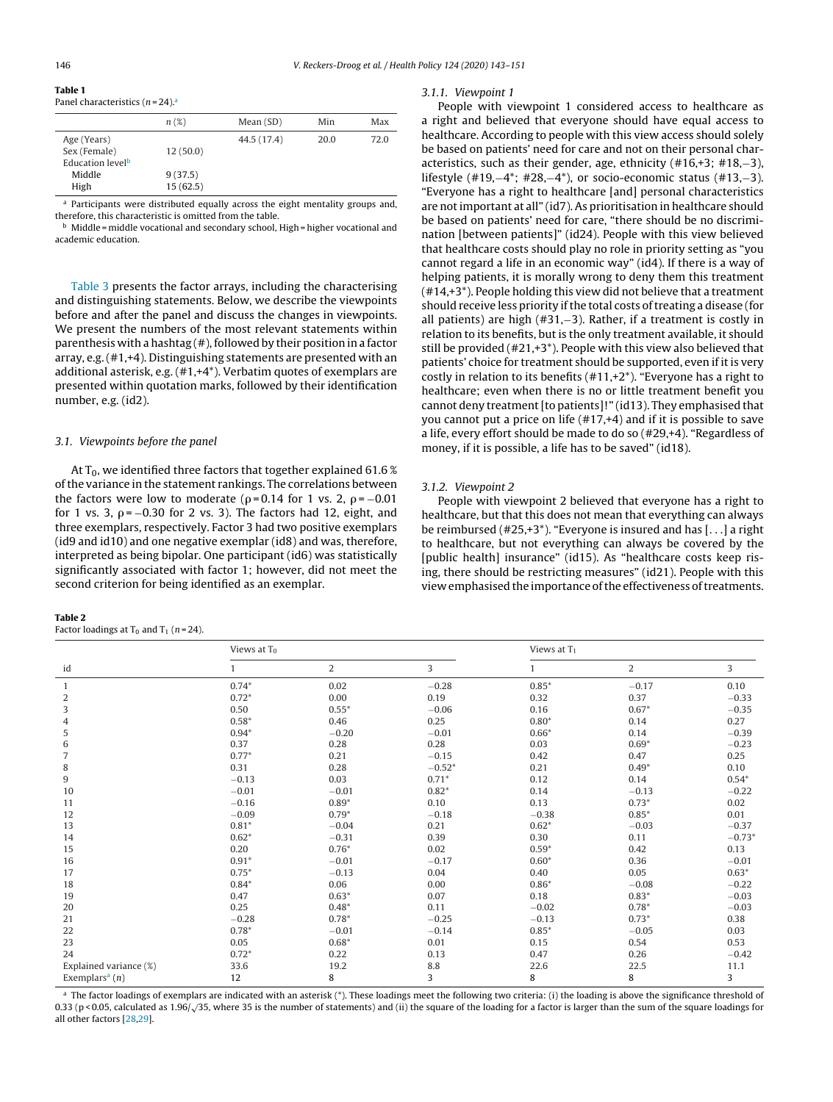## <span id="page-3-0"></span>**Table 1** Panel characteristics  $(n=24)^{a}$

|                              | $n(\mathcal{X})$ | Mean(SD)    | Min  | Max  |
|------------------------------|------------------|-------------|------|------|
| Age (Years)                  |                  | 44.5 (17.4) | 20.0 | 72.0 |
| Sex (Female)                 | 12(50.0)         |             |      |      |
| Education level <sup>b</sup> |                  |             |      |      |
| Middle                       | 9(37.5)          |             |      |      |
| High                         | 15(62.5)         |             |      |      |

a Participants were distributed equally across the eight mentality groups and, therefore, this characteristic is omitted from the table.

 $<sup>b</sup>$  Middle = middle vocational and secondary school, High = higher vocational and</sup> academic education.

[Table](#page-4-0) 3 presents the factor arrays, including the characterising and distinguishing statements. Below, we describe the viewpoints before and after the panel and discuss the changes in viewpoints. We present the numbers of the most relevant statements within parenthesis with a hashtag  $($ # $)$ , followed by their position in a factor array, e.g.(#1,+4). Distinguishing statements are presented with an additional asterisk, e.g. (#1,+4\*). Verbatim quotes of exemplars are presented within quotation marks, followed by their identification number, e.g. (id2).

## 3.1. Viewpoints before the panel

At  $T_0$ , we identified three factors that together explained 61.6 % ofthe variance in the statement rankings. The correlations between the factors were low to moderate ( $\rho$ =0.14 for 1 vs. 2,  $\rho$ = $-0.01$ for 1 vs. 3,  $\rho$ = $-0.30$  for 2 vs. 3). The factors had 12, eight, and three exemplars, respectively. Factor 3 had two positive exemplars (id9 and id10) and one negative exemplar (id8) and was, therefore, interpreted as being bipolar. One participant (id6) was statistically significantly associated with factor 1; however, did not meet the second criterion for being identified as an exemplar.

#### **Table 2**

Factor loadings at  $T_0$  and  $T_1$  (n = 24).

#### 3.1.1. Viewpoint 1

People with viewpoint 1 considered access to healthcare as a right and believed that everyone should have equal access to healthcare. According to people with this view access should solely be based on patients' need for care and not on their personal characteristics, such as their gender, age, ethnicity (#16,+3; #18,−3), lifestyle (#19,−4\*; #28,−4\*), or socio-economic status (#13,−3). "Everyone has a right to healthcare [and] personal characteristics are not important at all" (id7). As prioritisation in healthcare should be based on patients' need for care, "there should be no discrimination [between patients]" (id24). People with this view believed that healthcare costs should play no role in priority setting as "you cannot regard a life in an economic way" (id4). If there is a way of helping patients, it is morally wrong to deny them this treatment (#14,+3\*). People holding this view did not believe that a treatment should receive less priority if the total costs of treating a disease (for all patients) are high (#31,−3). Rather, if a treatment is costly in relation to its benefits, but is the only treatment available, it should still be provided (#21,+3\*). People with this view also believed that patients' choice for treatment should be supported, even if it is very costly in relation to its benefits  $(\#11, +2^*)$ . "Everyone has a right to healthcare; even when there is no or little treatment benefit you cannot deny treatment [to patients]!" (id13). They emphasised that you cannot put a price on life (#17,+4) and if it is possible to save a life, every effort should be made to do so (#29,+4). "Regardless of money, if it is possible, a life has to be saved" (id18).

# 3.1.2. Viewpoint 2

People with viewpoint 2 believed that everyone has a right to healthcare, but that this does not mean that everything can always be reimbursed  $(\#25, +3^*)$ . "Everyone is insured and has  $[$ ...] a right to healthcare, but not everything can always be covered by the [public health] insurance" (id15). As "healthcare costs keep rising, there should be restricting measures" (id21). People with this view emphasised the importance of the effectiveness of treatments.

|                              | Views at $T_0$ |         |          | Views at $T_1$ |                |          |  |
|------------------------------|----------------|---------|----------|----------------|----------------|----------|--|
| id                           |                | 2       | 3        |                | $\overline{2}$ | 3        |  |
|                              | $0.74*$        | 0.02    | $-0.28$  | $0.85*$        | $-0.17$        | 0.10     |  |
| 2                            | $0.72*$        | 0.00    | 0.19     | 0.32           | 0.37           | $-0.33$  |  |
| 3                            | 0.50           | $0.55*$ | $-0.06$  | 0.16           | $0.67*$        | $-0.35$  |  |
| 4                            | $0.58*$        | 0.46    | 0.25     | $0.80*$        | 0.14           | 0.27     |  |
| 5                            | $0.94*$        | $-0.20$ | $-0.01$  | $0.66*$        | 0.14           | $-0.39$  |  |
| 6                            | 0.37           | 0.28    | 0.28     | 0.03           | $0.69*$        | $-0.23$  |  |
| 7                            | $0.77*$        | 0.21    | $-0.15$  | 0.42           | 0.47           | 0.25     |  |
| 8                            | 0.31           | 0.28    | $-0.52*$ | 0.21           | $0.49*$        | 0.10     |  |
| 9                            | $-0.13$        | 0.03    | $0.71*$  | 0.12           | 0.14           | $0.54*$  |  |
| 10                           | $-0.01$        | $-0.01$ | $0.82*$  | 0.14           | $-0.13$        | $-0.22$  |  |
| 11                           | $-0.16$        | $0.89*$ | 0.10     | 0.13           | $0.73*$        | 0.02     |  |
| 12                           | $-0.09$        | $0.79*$ | $-0.18$  | $-0.38$        | $0.85*$        | 0.01     |  |
| 13                           | $0.81*$        | $-0.04$ | 0.21     | $0.62*$        | $-0.03$        | $-0.37$  |  |
| 14                           | $0.62*$        | $-0.31$ | 0.39     | 0.30           | 0.11           | $-0.73*$ |  |
| 15                           | 0.20           | $0.76*$ | 0.02     | $0.59*$        | 0.42           | 0.13     |  |
| 16                           | $0.91*$        | $-0.01$ | $-0.17$  | $0.60*$        | 0.36           | $-0.01$  |  |
| 17                           | $0.75*$        | $-0.13$ | 0.04     | 0.40           | 0.05           | $0.63*$  |  |
| 18                           | $0.84*$        | 0.06    | 0.00     | $0.86*$        | $-0.08$        | $-0.22$  |  |
| 19                           | 0.47           | $0.63*$ | 0.07     | 0.18           | $0.83*$        | $-0.03$  |  |
| 20                           | 0.25           | $0.48*$ | 0.11     | $-0.02$        | $0.78*$        | $-0.03$  |  |
| 21                           | $-0.28$        | $0.78*$ | $-0.25$  | $-0.13$        | $0.73*$        | 0.38     |  |
| 22                           | $0.78*$        | $-0.01$ | $-0.14$  | $0.85*$        | $-0.05$        | 0.03     |  |
| 23                           | 0.05           | $0.68*$ | 0.01     | 0.15           | 0.54           | 0.53     |  |
| 24                           | $0.72*$        | 0.22    | 0.13     | 0.47           | 0.26           | $-0.42$  |  |
| Explained variance (%)       | 33.6           | 19.2    | 8.8      | 22.6           | 22.5           | 11.1     |  |
| Exemplars <sup>a</sup> $(n)$ | 12             | 8       | 3        | 8              | 8              | 3        |  |

<sup>a</sup> The factor loadings of exemplars are indicated with an asterisk (\*). These loadings meet the following two criteria: (i) the loading is above the significance threshold of 0.33 (p < 0.05, calculated as 1.96/√35, where 35 is the number of statements) and (ii) the square of the loading for a factor is larger than the sum of the square loadings for all other factors [[28,29\].](#page-8-0)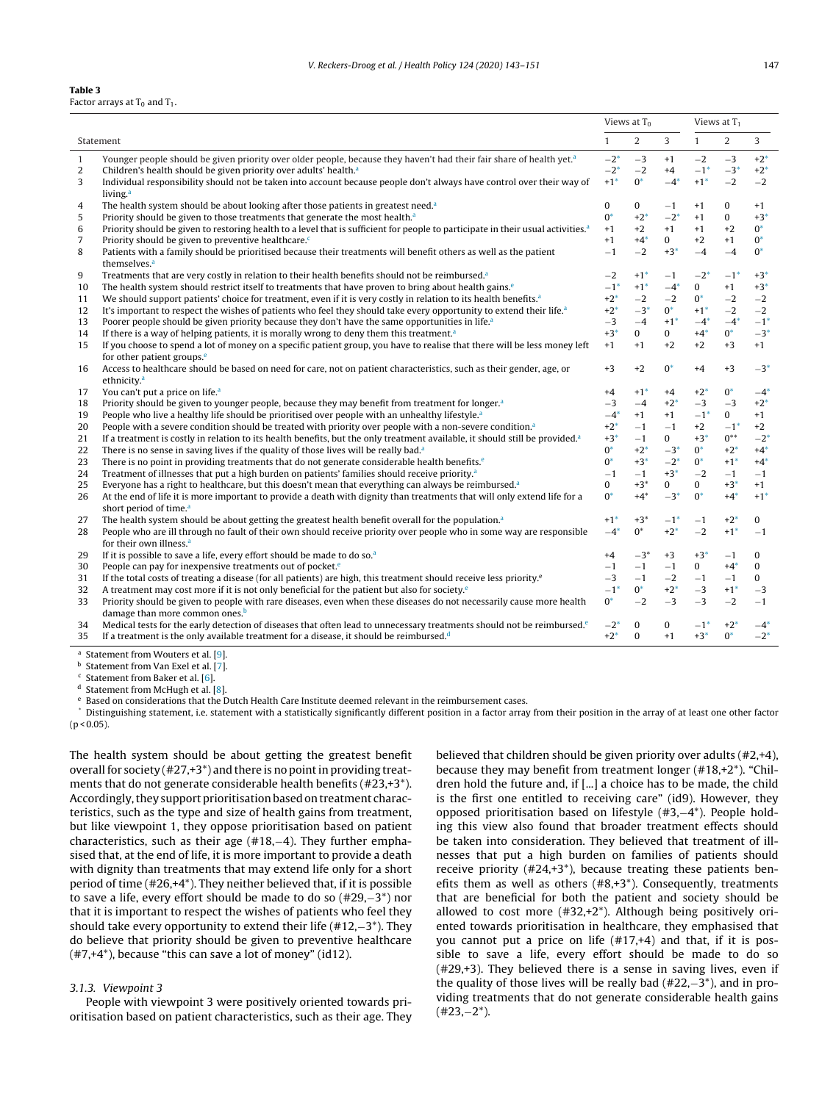#### <span id="page-4-0"></span>**Table 3** Factor arrays at  $T_0$  and  $T_1$ .

|                |                                                                                                                                                                |                   |                   | Views at $T_0$    |                   |                   | Views at $T_1$    |  |  |
|----------------|----------------------------------------------------------------------------------------------------------------------------------------------------------------|-------------------|-------------------|-------------------|-------------------|-------------------|-------------------|--|--|
|                | Statement                                                                                                                                                      | $\mathbf{1}$      | $\overline{2}$    | 3                 | $\mathbf{1}$      | $\overline{2}$    | 3                 |  |  |
| $\mathbf{1}$   | Younger people should be given priority over older people, because they haven't had their fair share of health yet. <sup>a</sup>                               | $-2*$             | $-3$              | $+1$              | $-2$              | $-3$              | $+2*$             |  |  |
| $\overline{2}$ | Children's health should be given priority over adults' health. <sup>a</sup>                                                                                   | $-2*$             | $-2$              | $+4$              | $-1$ <sup>*</sup> | $-3*$             | $+2*$             |  |  |
| 3              | Individual responsibility should not be taken into account because people don't always have control over their way of                                          | $+1$ <sup>*</sup> | $0^*$             | $-4*$             | $+1$ <sup>*</sup> | $-2$              | $-2$              |  |  |
|                | living. <sup>a</sup>                                                                                                                                           |                   |                   |                   |                   |                   |                   |  |  |
| 4              | The health system should be about looking after those patients in greatest need. <sup>a</sup>                                                                  | $\bf{0}$          | 0                 | $-1$              | $+1$              | $\mathbf{0}$      | $+1$              |  |  |
| 5              | Priority should be given to those treatments that generate the most health. <sup>a</sup>                                                                       | $0^*$             | $+2*$             | $-2*$             | $+1$              | $\mathbf{0}$      | $+3*$             |  |  |
| 6              | Priority should be given to restoring health to a level that is sufficient for people to participate in their usual activities. <sup>a</sup>                   | $+1$              | $+2$              | $+1$              | $+1$              | $+2$              | $0^*$             |  |  |
| $\overline{7}$ | Priority should be given to preventive healthcare. <sup>c</sup>                                                                                                | $+1$              | $+4*$             | $\mathbf{0}$      | $+2$              | $+1$              | $0^*$             |  |  |
| 8              | Patients with a family should be prioritised because their treatments will benefit others as well as the patient                                               | $-1$              | $-2$              | $+3*$             | $-4$              | $-4$              | $0^*$             |  |  |
|                | themselves. <sup>a</sup>                                                                                                                                       |                   |                   |                   |                   |                   |                   |  |  |
| 9              | Treatments that are very costly in relation to their health benefits should not be reimbursed. <sup>a</sup>                                                    | $-2$              | $+1$ <sup>*</sup> | $-1$              | $-2*$             | $-1$ <sup>*</sup> | $+3*$             |  |  |
| 10             | The health system should restrict itself to treatments that have proven to bring about health gains. <sup>e</sup>                                              | $-1$ <sup>*</sup> | $+1$ <sup>*</sup> | $-4*$             | $\mathbf{0}$      | $+1$              | $+3*$             |  |  |
| 11             | We should support patients' choice for treatment, even if it is very costly in relation to its health benefits. <sup>a</sup>                                   | $+2*$             | $-2$              | $-2$              | $0^*$             | $-2$              | $-2$              |  |  |
| 12             | It's important to respect the wishes of patients who feel they should take every opportunity to extend their life. <sup>a</sup>                                | $+2*$             | $-3^*$            | $0^*$             | $+1$ <sup>*</sup> | $-2$              | $-2$              |  |  |
| 13             | Poorer people should be given priority because they don't have the same opportunities in life. <sup>a</sup>                                                    | $-3$              | $-4$              | $+1$ <sup>*</sup> | $-4$ <sup>*</sup> | $-4$ <sup>*</sup> | $-1$ <sup>*</sup> |  |  |
| 14             | If there is a way of helping patients, it is morally wrong to deny them this treatment. <sup>a</sup>                                                           | $+3*$             | 0                 | $\mathbf{0}$      | $+4*$             | $0^*$             | $-3*$             |  |  |
| 15             | If you choose to spend a lot of money on a specific patient group, you have to realise that there will be less money left                                      | $+1$              | $+1$              | $+2$              | $+2$              | $+3$              | $+1$              |  |  |
|                | for other patient groups. <sup>e</sup>                                                                                                                         |                   |                   |                   |                   |                   |                   |  |  |
| 16             | Access to healthcare should be based on need for care, not on patient characteristics, such as their gender, age, or                                           | $+3$              | $+2$              | $0^*$             | $+4$              | $+3$              | $-3*$             |  |  |
|                | ethnicity. <sup>a</sup>                                                                                                                                        |                   |                   |                   |                   |                   |                   |  |  |
| 17             | You can't put a price on life. <sup>a</sup>                                                                                                                    | $+4$              | $+1$ <sup>*</sup> | $+4$              | $+2$ <sup>*</sup> | $0^*$             | $-4*$             |  |  |
| 18             | Priority should be given to younger people, because they may benefit from treatment for longer. <sup>a</sup>                                                   | $-3$              | $-4$              | $+2*$             | $-3$              | $-3$              | $+2*$             |  |  |
| 19             | People who live a healthy life should be prioritised over people with an unhealthy lifestyle. <sup>a</sup>                                                     | $-4$ <sup>*</sup> | $+1$              | $+1$              | $-1$ <sup>*</sup> | $\mathbf{0}$      | $+1$              |  |  |
| 20             | People with a severe condition should be treated with priority over people with a non-severe condition. <sup>a</sup>                                           | $+2*$             | $-1$              | $-1$              | $+2$              | $-1$ <sup>*</sup> | $+2$              |  |  |
| 21             | If a treatment is costly in relation to its health benefits, but the only treatment available, it should still be provided. <sup>a</sup>                       | $+3*$             | $-1$              | 0                 | $+3*$             | $0^{**}$          | $-2*$             |  |  |
| 22             | There is no sense in saving lives if the quality of those lives will be really bad. <sup>a</sup>                                                               | $0^*$             | $+2*$             | $-3*$             | $0^*$             | $+2*$             | $+4*$             |  |  |
| 23             | There is no point in providing treatments that do not generate considerable health benefits. $e^{\phi}$                                                        | $0^*$             | $+3*$             | $-2^{*}$          | $0^*$             | $+1$ <sup>*</sup> | $+4*$             |  |  |
| 24             | Treatment of illnesses that put a high burden on patients' families should receive priority. <sup>a</sup>                                                      | $-1$              | $-1$              | $+3*$             | $-2$              | $-1$              | $-1$              |  |  |
| 25             | Everyone has a right to healthcare, but this doesn't mean that everything can always be reimbursed. <sup>a</sup>                                               | 0                 | $+3*$             | 0                 | $\mathbf{0}$      | $+3*$             | $+1$              |  |  |
| 26             | At the end of life it is more important to provide a death with dignity than treatments that will only extend life for a<br>short period of time. <sup>a</sup> | $0^*$             | $+4*$             | $-3*$             | $0^*$             | $+4*$             | $+1$ <sup>*</sup> |  |  |
|                | The health system should be about getting the greatest health benefit overall for the population. <sup>a</sup>                                                 | $+1*$             | $+3*$             | $-1$ <sup>*</sup> |                   | $+2*$             | 0                 |  |  |
| 27<br>28       |                                                                                                                                                                | $-4$ <sup>*</sup> | $0^*$             | $+2*$             | $-1$<br>$-2$      | $+1$ <sup>*</sup> | $-1$              |  |  |
|                | People who are ill through no fault of their own should receive priority over people who in some way are responsible<br>for their own illness. <sup>a</sup>    |                   |                   |                   |                   |                   |                   |  |  |
| 29             | If it is possible to save a life, every effort should be made to do so. <sup>a</sup>                                                                           | $+4$              | $-3*$             | $+3$              | $+3*$             | $-1$              | $\Omega$          |  |  |
| 30             | People can pay for inexpensive treatments out of pocket. <sup>e</sup>                                                                                          | $-1$              | $-1$              | $-1$              | $\mathbf{0}$      | $+4*$             | $\mathbf{0}$      |  |  |
| 31             | If the total costs of treating a disease (for all patients) are high, this treatment should receive less priority. <sup>e</sup>                                | $-3$              | $-1$              | $-2$              | $-1$              | $-1$              | $\mathbf{0}$      |  |  |
| 32             | A treatment may cost more if it is not only beneficial for the patient but also for society. <sup>e</sup>                                                      | $-1*$             | $0^*$             | $+2$ <sup>*</sup> | $-3$              | $+1$ <sup>*</sup> | $-3$              |  |  |
| 33             | Priority should be given to people with rare diseases, even when these diseases do not necessarily cause more health                                           | $0^*$             | $-2$              | $-3$              | $-3$              | $-2$              | $-1$              |  |  |
|                | damage than more common ones. <sup>b</sup>                                                                                                                     |                   |                   |                   |                   |                   |                   |  |  |
| 34             | Medical tests for the early detection of diseases that often lead to unnecessary treatments should not be reimbursed. <sup>e</sup>                             | $-2^{*}$          | $\mathbf{0}$      | $\mathbf{0}$      | $-1$ <sup>*</sup> | $+2*$             | $-4*$             |  |  |
| 35             | If a treatment is the only available treatment for a disease, it should be reimbursed. <sup>d</sup>                                                            | $+2*$             | $\Omega$          | $+1$              | $+3*$             | $0^*$             | $-2*$             |  |  |
|                |                                                                                                                                                                |                   |                   |                   |                   |                   |                   |  |  |

<sup>a</sup> Statement from Wouters et al. [[9\].](#page-8-0)

<sup>b</sup> Statement from Van Exel et al. [\[7\].](#page-8-0)

Statement from Baker et al. [[6\].](#page-8-0)

<sup>d</sup> Statement from McHugh et al. [[8\].](#page-8-0)

Based on considerations that the Dutch Health Care Institute deemed relevant in the reimbursement cases.

Distinguishing statement, i.e. statement with a statistically significantly different position in a factor array from their position in the array of at least one other factor  $(p < 0.05)$ .

The health system should be about getting the greatest benefit overall for society  $(\#27, +3^*)$  and there is no point in providing treatments that do not generate considerable health benefits (#23,+3\*). Accordingly, they support prioritisation based on treatment characteristics, such as the type and size of health gains from treatment, but like viewpoint 1, they oppose prioritisation based on patient characteristics, such as their age (#18,−4). They further emphasised that, at the end of life, it is more important to provide a death with dignity than treatments that may extend life only for a short period of time (#26,+4\*). They neither believed that, if it is possible to save a life, every effort should be made to do so (#29,−3\*) nor that it is important to respect the wishes of patients who feel they should take every opportunity to extend their life (#12,−3\*). They do believe that priority should be given to preventive healthcare (#7,+4\*), because "this can save a lot of money" (id12).

## 3.1.3. Viewpoint 3

People with viewpoint 3 were positively oriented towards prioritisation based on patient characteristics, such as their age. They believed that children should be given priority over adults (#2,+4), because they may benefit from treatment longer (#18,+2\*). "Children hold the future and, if [...] a choice has to be made, the child is the first one entitled to receiving care" (id9). However, they opposed prioritisation based on lifestyle (#3,−4\*). People holding this view also found that broader treatment effects should be taken into consideration. They believed that treatment of illnesses that put a high burden on families of patients should receive priority (#24,+3\*), because treating these patients benefits them as well as others (#8,+3\*). Consequently, treatments that are beneficial for both the patient and society should be allowed to cost more (#32,+2\*). Although being positively oriented towards prioritisation in healthcare, they emphasised that you cannot put a price on life (#17,+4) and that, if it is possible to save a life, every effort should be made to do so (#29,+3). They believed there is a sense in saving lives, even if the quality of those lives will be really bad (#22,−3\*), and in providing treatments that do not generate considerable health gains (#23,−2\*).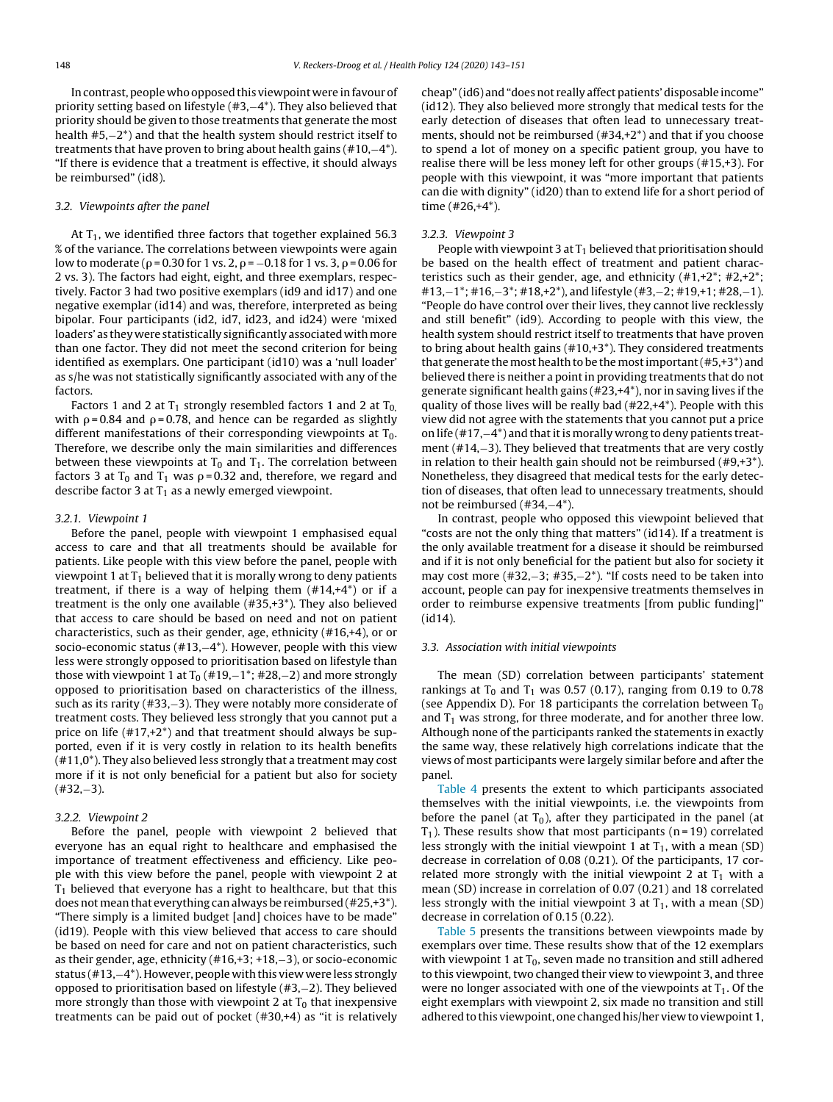In contrast, people who opposed this viewpoint were in favour of priority setting based on lifestyle (#3,−4\*). They also believed that priority should be given to those treatments that generate the most health #5,−2\*) and that the health system should restrict itself to treatments that have proven to bring about health gains (#10,−4\*). "If there is evidence that a treatment is effective, it should always be reimbursed" (id8).

## 3.2. Viewpoints after the panel

At  $T_1$ , we identified three factors that together explained 56.3 % of the variance. The correlations between viewpoints were again low to moderate ( $\rho$  = 0.30 for 1 vs. 2,  $\rho$  =  $-0.18$  for 1 vs. 3,  $\rho$  = 0.06 for 2 vs. 3). The factors had eight, eight, and three exemplars, respectively. Factor 3 had two positive exemplars (id9 and id17) and one negative exemplar (id14) and was, therefore, interpreted as being bipolar. Four participants (id2, id7, id23, and id24) were 'mixed loaders' as they were statistically significantly associated with more than one factor. They did not meet the second criterion for being identified as exemplars. One participant (id10) was a 'null loader' as s/he was not statistically significantly associated with any of the factors.

Factors 1 and 2 at  $T_1$  strongly resembled factors 1 and 2 at  $T_0$ with  $\rho$ =0.84 and  $\rho$ =0.78, and hence can be regarded as slightly different manifestations of their corresponding viewpoints at  $T_0$ . Therefore, we describe only the main similarities and differences between these viewpoints at  $T_0$  and  $T_1$ . The correlation between factors 3 at T $_{\rm 0}$  and T $_{\rm 1}$  was p=0.32 and, therefore, we regard and describe factor 3 at  $T_1$  as a newly emerged viewpoint.

### 3.2.1. Viewpoint 1

Before the panel, people with viewpoint 1 emphasised equal access to care and that all treatments should be available for patients. Like people with this view before the panel, people with viewpoint 1 at  $T_1$  believed that it is morally wrong to deny patients treatment, if there is a way of helping them  $(\#14, +4^*)$  or if a treatment is the only one available (#35,+3\*). They also believed that access to care should be based on need and not on patient characteristics, such as their gender, age, ethnicity (#16,+4), or or socio-economic status (#13,−4\*). However, people with this view less were strongly opposed to prioritisation based on lifestyle than those with viewpoint 1 at  $T_0$  (#19,−1<sup>\*</sup>; #28,−2) and more strongly opposed to prioritisation based on characteristics of the illness, such as its rarity (#33,−3). They were notably more considerate of treatment costs. They believed less strongly that you cannot put a price on life  $(\#17, +2^*)$  and that treatment should always be supported, even if it is very costly in relation to its health benefits  $(411,0^*)$ . They also believed less strongly that a treatment may cost more if it is not only beneficial for a patient but also for society (#32,−3).

## 3.2.2. Viewpoint 2

Before the panel, people with viewpoint 2 believed that everyone has an equal right to healthcare and emphasised the importance of treatment effectiveness and efficiency. Like people with this view before the panel, people with viewpoint 2 at  $T_1$  believed that everyone has a right to healthcare, but that this does not mean that everything can always be reimbursed (#25,+3\*). "There simply is a limited budget [and] choices have to be made" (id19). People with this view believed that access to care should be based on need for care and not on patient characteristics, such as their gender, age, ethnicity (#16,+3; +18,−3), or socio-economic status (#13,−4\*). However, people with this view were less strongly opposed to prioritisation based on lifestyle (#3,−2). They believed more strongly than those with viewpoint 2 at  $T_0$  that inexpensive treatments can be paid out of pocket (#30,+4) as "it is relatively

cheap" (id6) and "does not really affect patients' disposable income" (id12). They also believed more strongly that medical tests for the early detection of diseases that often lead to unnecessary treatments, should not be reimbursed (#34,+2\*) and that if you choose to spend a lot of money on a specific patient group, you have to realise there will be less money left for other groups (#15,+3). For people with this viewpoint, it was "more important that patients can die with dignity" (id20) than to extend life for a short period of time (#26,+4\*).

#### 3.2.3. Viewpoint 3

People with viewpoint 3 at  $T_1$  believed that prioritisation should be based on the health effect of treatment and patient characteristics such as their gender, age, and ethnicity  $(\#1, +2^*; \#2, +2^*)$ #13,−1\*; #16,−3\*; #18,+2\*), and lifestyle (#3,−2; #19,+1; #28,−1). "People do have control over their lives, they cannot live recklessly and still benefit" (id9). According to people with this view, the health system should restrict itself to treatments that have proven to bring about health gains (#10,+3\*). They considered treatments that generate the most health to be the most important  $(\texttt{\#5},\texttt{+3}^*)$  and believed there is neither a point in providing treatments that do not generate significant health gains (#23,+4\*), nor in saving lives if the quality of those lives will be really bad (#22,+4\*). People with this view did not agree with the statements that you cannot put a price on life (#17, $-4^*$ ) and that it is morally wrong to deny patients treatment (#14,−3). They believed that treatments that are very costly in relation to their health gain should not be reimbursed  $(\texttt{\#9},\texttt{+3*}).$ Nonetheless, they disagreed that medical tests for the early detection of diseases, that often lead to unnecessary treatments, should not be reimbursed (#34,−4\*).

In contrast, people who opposed this viewpoint believed that "costs are not the only thing that matters" (id14). If a treatment is the only available treatment for a disease it should be reimbursed and if it is not only beneficial for the patient but also for society it may cost more (#32,–3; #35,–2<sup>\*</sup>). "If costs need to be taken into account, people can pay for inexpensive treatments themselves in order to reimburse expensive treatments [from public funding]" (id14).

## 3.3. Association with initial viewpoints

The mean (SD) correlation between participants' statement rankings at T<sub>0</sub> and T<sub>1</sub> was 0.57 (0.17), ranging from 0.19 to 0.78 (see Appendix D). For 18 participants the correlation between  $T_0$ and  $T_1$  was strong, for three moderate, and for another three low. Although none of the participants ranked the statements in exactly the same way, these relatively high correlations indicate that the views of most participants were largely similar before and after the panel.

[Table](#page-6-0) 4 presents the extent to which participants associated themselves with the initial viewpoints, i.e. the viewpoints from before the panel (at  $T_0$ ), after they participated in the panel (at  $T_1$ ). These results show that most participants (n=19) correlated less strongly with the initial viewpoint 1 at  $T_1$ , with a mean (SD) decrease in correlation of 0.08 (0.21). Of the participants, 17 correlated more strongly with the initial viewpoint 2 at  $T_1$  with a mean (SD) increase in correlation of 0.07 (0.21) and 18 correlated less strongly with the initial viewpoint 3 at  $T_1$ , with a mean (SD) decrease in correlation of 0.15 (0.22).

[Table](#page-6-0) 5 presents the transitions between viewpoints made by exemplars over time. These results show that of the 12 exemplars with viewpoint 1 at  $T_0$ , seven made no transition and still adhered to this viewpoint, two changed their view to viewpoint 3, and three were no longer associated with one of the viewpoints at  $T_1$ . Of the eight exemplars with viewpoint 2, six made no transition and still adhered to this viewpoint, one changed his/her view to viewpoint 1,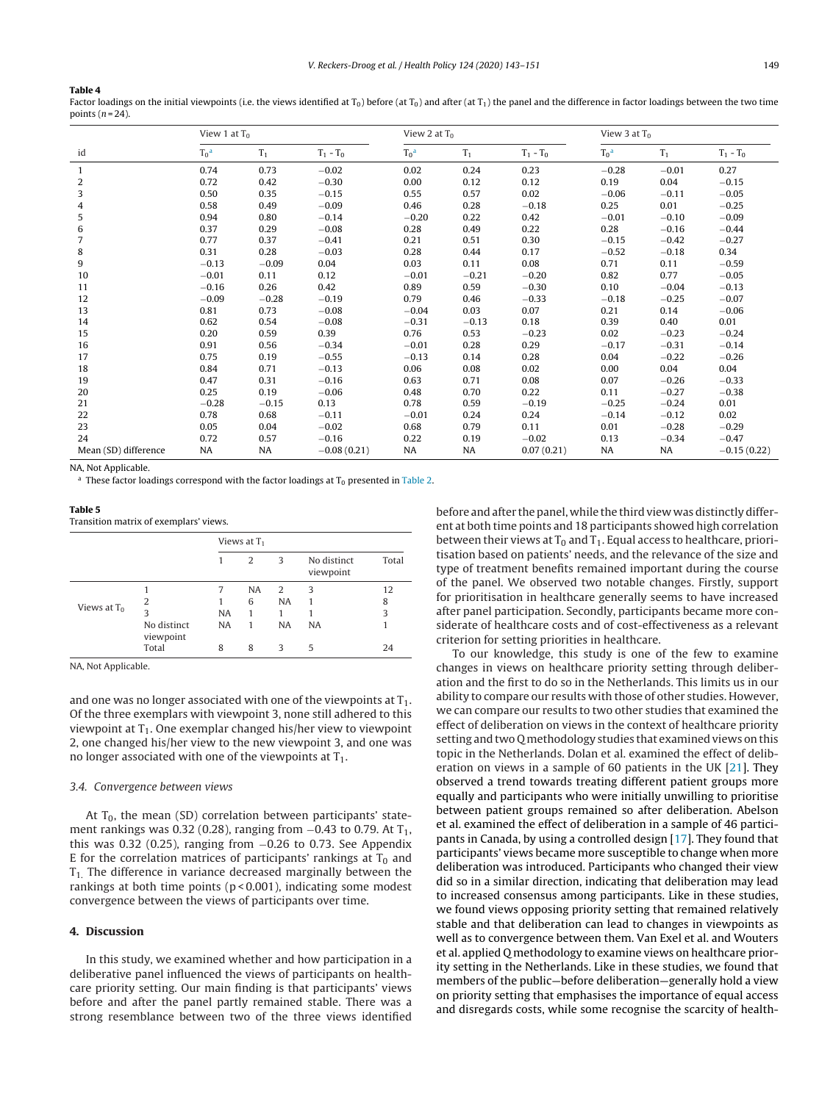## <span id="page-6-0"></span>**Table 4**

Factor loadings on the initial viewpoints (i.e. the views identified at  $T_0$ ) before (at  $T_0$ ) and after (at  $T_1$ ) the panel and the difference in factor loadings between the two time points  $(n=24)$ .

|                      | View 1 at $T_0$ |         |               | View 2 at $T_0$ |         |             | View 3 at $T_0$ |           |               |
|----------------------|-----------------|---------|---------------|-----------------|---------|-------------|-----------------|-----------|---------------|
| id                   | $T_0^a$         | $T_1$   | $T_1 - T_0$   | $T_0^a$         | $T_1$   | $T_1 - T_0$ | $To^a$          | $T_1$     | $T_1 - T_0$   |
| $\mathbf{1}$         | 0.74            | 0.73    | $-0.02$       | 0.02            | 0.24    | 0.23        | $-0.28$         | $-0.01$   | 0.27          |
| 2                    | 0.72            | 0.42    | $-0.30$       | 0.00            | 0.12    | 0.12        | 0.19            | 0.04      | $-0.15$       |
| 3                    | 0.50            | 0.35    | $-0.15$       | 0.55            | 0.57    | 0.02        | $-0.06$         | $-0.11$   | $-0.05$       |
| 4                    | 0.58            | 0.49    | $-0.09$       | 0.46            | 0.28    | $-0.18$     | 0.25            | 0.01      | $-0.25$       |
| 5                    | 0.94            | 0.80    | $-0.14$       | $-0.20$         | 0.22    | 0.42        | $-0.01$         | $-0.10$   | $-0.09$       |
| 6                    | 0.37            | 0.29    | $-0.08$       | 0.28            | 0.49    | 0.22        | 0.28            | $-0.16$   | $-0.44$       |
| $\overline{7}$       | 0.77            | 0.37    | $-0.41$       | 0.21            | 0.51    | 0.30        | $-0.15$         | $-0.42$   | $-0.27$       |
| 8                    | 0.31            | 0.28    | $-0.03$       | 0.28            | 0.44    | 0.17        | $-0.52$         | $-0.18$   | 0.34          |
| 9                    | $-0.13$         | $-0.09$ | 0.04          | 0.03            | 0.11    | 0.08        | 0.71            | 0.11      | $-0.59$       |
| 10                   | $-0.01$         | 0.11    | 0.12          | $-0.01$         | $-0.21$ | $-0.20$     | 0.82            | 0.77      | $-0.05$       |
| 11                   | $-0.16$         | 0.26    | 0.42          | 0.89            | 0.59    | $-0.30$     | 0.10            | $-0.04$   | $-0.13$       |
| 12                   | $-0.09$         | $-0.28$ | $-0.19$       | 0.79            | 0.46    | $-0.33$     | $-0.18$         | $-0.25$   | $-0.07$       |
| 13                   | 0.81            | 0.73    | $-0.08$       | $-0.04$         | 0.03    | 0.07        | 0.21            | 0.14      | $-0.06$       |
| 14                   | 0.62            | 0.54    | $-0.08$       | $-0.31$         | $-0.13$ | 0.18        | 0.39            | 0.40      | 0.01          |
| 15                   | 0.20            | 0.59    | 0.39          | 0.76            | 0.53    | $-0.23$     | 0.02            | $-0.23$   | $-0.24$       |
| 16                   | 0.91            | 0.56    | $-0.34$       | $-0.01$         | 0.28    | 0.29        | $-0.17$         | $-0.31$   | $-0.14$       |
| 17                   | 0.75            | 0.19    | $-0.55$       | $-0.13$         | 0.14    | 0.28        | 0.04            | $-0.22$   | $-0.26$       |
| 18                   | 0.84            | 0.71    | $-0.13$       | 0.06            | 0.08    | 0.02        | 0.00            | 0.04      | 0.04          |
| 19                   | 0.47            | 0.31    | $-0.16$       | 0.63            | 0.71    | 0.08        | 0.07            | $-0.26$   | $-0.33$       |
| 20                   | 0.25            | 0.19    | $-0.06$       | 0.48            | 0.70    | 0.22        | 0.11            | $-0.27$   | $-0.38$       |
| 21                   | $-0.28$         | $-0.15$ | 0.13          | 0.78            | 0.59    | $-0.19$     | $-0.25$         | $-0.24$   | 0.01          |
| 22                   | 0.78            | 0.68    | $-0.11$       | $-0.01$         | 0.24    | 0.24        | $-0.14$         | $-0.12$   | 0.02          |
| 23                   | 0.05            | 0.04    | $-0.02$       | 0.68            | 0.79    | 0.11        | 0.01            | $-0.28$   | $-0.29$       |
| 24                   | 0.72            | 0.57    | $-0.16$       | 0.22            | 0.19    | $-0.02$     | 0.13            | $-0.34$   | $-0.47$       |
| Mean (SD) difference | <b>NA</b>       | NA      | $-0.08(0.21)$ | <b>NA</b>       | NA      | 0.07(0.21)  | NA              | <b>NA</b> | $-0.15(0.22)$ |

NA, Not Applicable.

<sup>a</sup> These factor loadings correspond with the factor loadings at  $T_0$  presented in [Table](#page-3-0) 2.

| $\sim$<br>. . | ۰. |
|---------------|----|
|---------------|----|

Transition matrix of exemplars' views.

|                |                          | Views at $T_1$ |           |           |                          |       |
|----------------|--------------------------|----------------|-----------|-----------|--------------------------|-------|
|                |                          |                | 2         | 3         | No distinct<br>viewpoint | Total |
|                |                          | 7              | <b>NA</b> | 2         | 3                        | 12    |
|                | 2                        |                | 6         | <b>NA</b> |                          | 8     |
| Views at $T_0$ | 3                        | <b>NA</b>      | 1         | 1         |                          | 3     |
|                | No distinct<br>viewpoint | <b>NA</b>      | 1         | <b>NA</b> | <b>NA</b>                | 1     |
|                | Total                    | 8              | 8         | 3         | 5                        | 24    |

NA, Not Applicable.

and one was no longer associated with one of the viewpoints at  $T_1$ . Of the three exemplars with viewpoint 3, none still adhered to this viewpoint at  $T_1$ . One exemplar changed his/her view to viewpoint 2, one changed his/her view to the new viewpoint 3, and one was no longer associated with one of the viewpoints at  $T_1$ .

#### 3.4. Convergence between views

At  $T_0$ , the mean (SD) correlation between participants' statement rankings was 0.32 (0.28), ranging from  $-0.43$  to 0.79. At T<sub>1</sub>, this was 0.32 (0.25), ranging from −0.26 to 0.73. See Appendix E for the correlation matrices of participants' rankings at  $T_0$  and  $T_1$ . The difference in variance decreased marginally between the rankings at both time points ( $p$  < 0.001), indicating some modest convergence between the views of participants over time.

## **4. Discussion**

In this study, we examined whether and how participation in a deliberative panel influenced the views of participants on healthcare priority setting. Our main finding is that participants' views before and after the panel partly remained stable. There was a strong resemblance between two of the three views identified before and after the panel, while the third view was distinctly different at both time points and 18 participants showed high correlation between their views at  $T_0$  and  $T_1$ . Equal access to healthcare, prioritisation based on patients' needs, and the relevance of the size and type of treatment benefits remained important during the course of the panel. We observed two notable changes. Firstly, support for prioritisation in healthcare generally seems to have increased after panel participation. Secondly, participants became more considerate of healthcare costs and of cost-effectiveness as a relevant criterion for setting priorities in healthcare.

To our knowledge, this study is one of the few to examine changes in views on healthcare priority setting through deliberation and the first to do so in the Netherlands. This limits us in our ability to compare our results with those of other studies. However, we can compare our results to two other studies that examined the effect of deliberation on views in the context of healthcare priority setting and two Q methodology studies that examined views on this topic in the Netherlands. Dolan et al. examined the effect of deliberation on views in a sample of 60 patients in the UK [[21\].](#page-8-0) They observed a trend towards treating different patient groups more equally and participants who were initially unwilling to prioritise between patient groups remained so after deliberation. Abelson et al. examined the effect of deliberation in a sample of 46 participants in Canada, by using a controlled design [\[17\].](#page-8-0) They found that participants' views became more susceptible to change when more deliberation was introduced. Participants who changed their view did so in a similar direction, indicating that deliberation may lead to increased consensus among participants. Like in these studies, we found views opposing priority setting that remained relatively stable and that deliberation can lead to changes in viewpoints as well as to convergence between them. Van Exel et al. and Wouters et al. applied Q methodology to examine views on healthcare priority setting in the Netherlands. Like in these studies, we found that members of the public—before deliberation—generally hold a view on priority setting that emphasises the importance of equal access and disregards costs, while some recognise the scarcity of health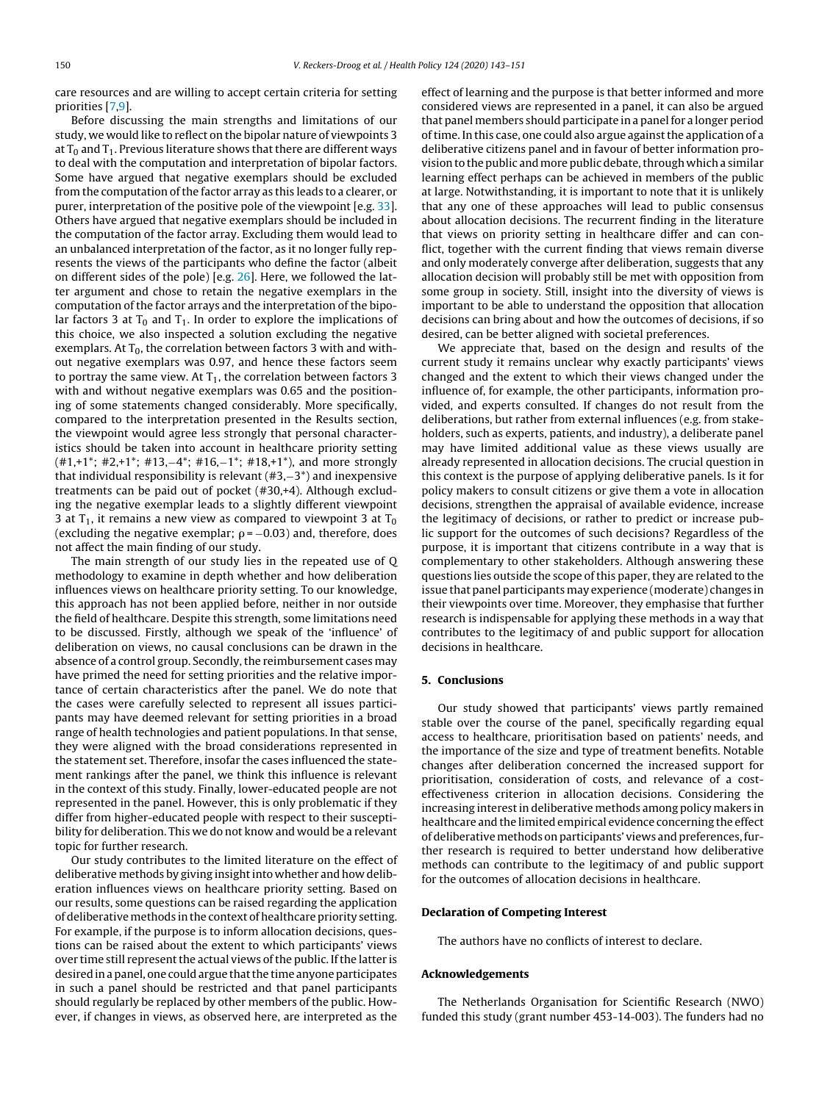care resources and are willing to accept certain criteria for setting priorities [\[7,9\].](#page-8-0)

Before discussing the main strengths and limitations of our study, we would like to reflect on the bipolar nature of viewpoints 3 at  $T_0$  and  $T_1$ . Previous literature shows that there are different ways to deal with the computation and interpretation of bipolar factors. Some have argued that negative exemplars should be excluded from the computation of the factor array as this leads to a clearer, or purer, interpretation of the positive pole of the viewpoint [e.g. [33\].](#page-8-0) Others have argued that negative exemplars should be included in the computation of the factor array. Excluding them would lead to an unbalanced interpretation of the factor, as it no longer fully represents the views of the participants who define the factor (albeit on different sides of the pole) [e.g. [26\].](#page-8-0) Here, we followed the latter argument and chose to retain the negative exemplars in the computation of the factor arrays and the interpretation of the bipolar factors 3 at  $T_0$  and  $T_1$ . In order to explore the implications of this choice, we also inspected a solution excluding the negative exemplars. At  $T_0$ , the correlation between factors 3 with and without negative exemplars was 0.97, and hence these factors seem to portray the same view. At  $T_1$ , the correlation between factors 3 with and without negative exemplars was 0.65 and the positioning of some statements changed considerably. More specifically, compared to the interpretation presented in the Results section, the viewpoint would agree less strongly that personal characteristics should be taken into account in healthcare priority setting (#1,+1\*; #2,+1\*; #13,−4\*; #16,−1\*; #18,+1\*), and more strongly that individual responsibility is relevant (#3,−3\*) and inexpensive treatments can be paid out of pocket (#30,+4). Although excluding the negative exemplar leads to a slightly different viewpoint 3 at  $T_1$ , it remains a new view as compared to viewpoint 3 at  $T_0$ (excluding the negative exemplar;  $\rho$  =  $-0.03$ ) and, therefore, does not affect the main finding of our study.

The main strength of our study lies in the repeated use of Q methodology to examine in depth whether and how deliberation influences views on healthcare priority setting. To our knowledge, this approach has not been applied before, neither in nor outside the field of healthcare. Despite this strength, some limitations need to be discussed. Firstly, although we speak of the 'influence' of deliberation on views, no causal conclusions can be drawn in the absence of a control group. Secondly, the reimbursement cases may have primed the need for setting priorities and the relative importance of certain characteristics after the panel. We do note that the cases were carefully selected to represent all issues participants may have deemed relevant for setting priorities in a broad range of health technologies and patient populations. In that sense, they were aligned with the broad considerations represented in the statement set. Therefore, insofar the cases influenced the statement rankings after the panel, we think this influence is relevant in the context of this study. Finally, lower-educated people are not represented in the panel. However, this is only problematic if they differ from higher-educated people with respect to their susceptibility for deliberation. This we do not know and would be a relevant topic for further research.

Our study contributes to the limited literature on the effect of deliberative methods by giving insight into whether and how deliberation influences views on healthcare priority setting. Based on our results, some questions can be raised regarding the application of deliberative methods in the context of healthcare priority setting. For example, if the purpose is to inform allocation decisions, questions can be raised about the extent to which participants' views over time still represent the actual views of the public. If the latter is desired in a panel, one could argue that the time anyone participates in such a panel should be restricted and that panel participants should regularly be replaced by other members of the public. However, if changes in views, as observed here, are interpreted as the

effect of learning and the purpose is that better informed and more considered views are represented in a panel, it can also be argued that panel members should participate in a panel for a longer period of time. In this case, one could also argue against the application of a deliberative citizens panel and in favour of better information provision to the public and more public debate, through which a similar learning effect perhaps can be achieved in members of the public at large. Notwithstanding, it is important to note that it is unlikely that any one of these approaches will lead to public consensus about allocation decisions. The recurrent finding in the literature that views on priority setting in healthcare differ and can conflict, together with the current finding that views remain diverse and only moderately converge after deliberation, suggests that any allocation decision will probably still be met with opposition from some group in society. Still, insight into the diversity of views is important to be able to understand the opposition that allocation decisions can bring about and how the outcomes of decisions, if so desired, can be better aligned with societal preferences.

We appreciate that, based on the design and results of the current study it remains unclear why exactly participants' views changed and the extent to which their views changed under the influence of, for example, the other participants, information provided, and experts consulted. If changes do not result from the deliberations, but rather from external influences (e.g. from stakeholders, such as experts, patients, and industry), a deliberate panel may have limited additional value as these views usually are already represented in allocation decisions. The crucial question in this context is the purpose of applying deliberative panels. Is it for policy makers to consult citizens or give them a vote in allocation decisions, strengthen the appraisal of available evidence, increase the legitimacy of decisions, or rather to predict or increase public support for the outcomes of such decisions? Regardless of the purpose, it is important that citizens contribute in a way that is complementary to other stakeholders. Although answering these questions lies outside the scope of this paper, they are related to the issue that panel participants may experience (moderate) changes in their viewpoints over time. Moreover, they emphasise that further research is indispensable for applying these methods in a way that contributes to the legitimacy of and public support for allocation decisions in healthcare.

## **5. Conclusions**

Our study showed that participants' views partly remained stable over the course of the panel, specifically regarding equal access to healthcare, prioritisation based on patients' needs, and the importance of the size and type of treatment benefits. Notable changes after deliberation concerned the increased support for prioritisation, consideration of costs, and relevance of a costeffectiveness criterion in allocation decisions. Considering the increasing interest in deliberative methods among policy makers in healthcare and the limited empirical evidence concerning the effect of deliberative methods on participants' views and preferences, further research is required to better understand how deliberative methods can contribute to the legitimacy of and public support for the outcomes of allocation decisions in healthcare.

## **Declaration of Competing Interest**

The authors have no conflicts of interest to declare.

## **Acknowledgements**

The Netherlands Organisation for Scientific Research (NWO) funded this study (grant number 453-14-003). The funders had no